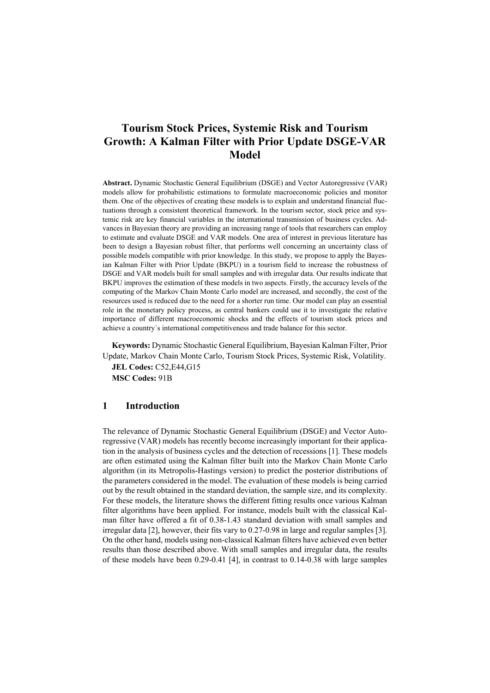# **Tourism Stock Prices, Systemic Risk and Tourism Growth: A Kalman Filter with Prior Update DSGE-VAR Model**

**Abstract.** Dynamic Stochastic General Equilibrium (DSGE) and Vector Autoregressive (VAR) models allow for probabilistic estimations to formulate macroeconomic policies and monitor them. One of the objectives of creating these models is to explain and understand financial fluctuations through a consistent theoretical framework. In the tourism sector, stock price and systemic risk are key financial variables in the international transmission of business cycles. Advances in Bayesian theory are providing an increasing range of tools that researchers can employ to estimate and evaluate DSGE and VAR models. One area of interest in previous literature has been to design a Bayesian robust filter, that performs well concerning an uncertainty class of possible models compatible with prior knowledge. In this study, we propose to apply the Bayesian Kalman Filter with Prior Update (BKPU) in a tourism field to increase the robustness of DSGE and VAR models built for small samples and with irregular data. Our results indicate that BKPU improves the estimation of these models in two aspects. Firstly, the accuracy levels of the computing of the Markov Chain Monte Carlo model are increased, and secondly, the cost of the resources used is reduced due to the need for a shorter run time. Our model can play an essential role in the monetary policy process, as central bankers could use it to investigate the relative importance of different macroeconomic shocks and the effects of tourism stock prices and achieve a country´s international competitiveness and trade balance for this sector.

**Keywords:** Dynamic Stochastic General Equilibrium, Bayesian Kalman Filter, Prior Update, Markov Chain Monte Carlo, Tourism Stock Prices, Systemic Risk, Volatility. **JEL Codes:** C52,E44,G15

**MSC Codes:** 91B

# **1 Introduction**

The relevance of Dynamic Stochastic General Equilibrium (DSGE) and Vector Autoregressive (VAR) models has recently become increasingly important for their application in the analysis of business cycles and the detection of recessions [1]. These models are often estimated using the Kalman filter built into the Markov Chain Monte Carlo algorithm (in its Metropolis-Hastings version) to predict the posterior distributions of the parameters considered in the model. The evaluation of these models is being carried out by the result obtained in the standard deviation, the sample size, and its complexity. For these models, the literature shows the different fitting results once various Kalman filter algorithms have been applied. For instance, models built with the classical Kalman filter have offered a fit of 0.38-1.43 standard deviation with small samples and irregular data [2], however, their fits vary to 0.27-0.98 in large and regular samples [3]. On the other hand, models using non-classical Kalman filters have achieved even better results than those described above. With small samples and irregular data, the results of these models have been 0.29-0.41 [4], in contrast to 0.14-0.38 with large samples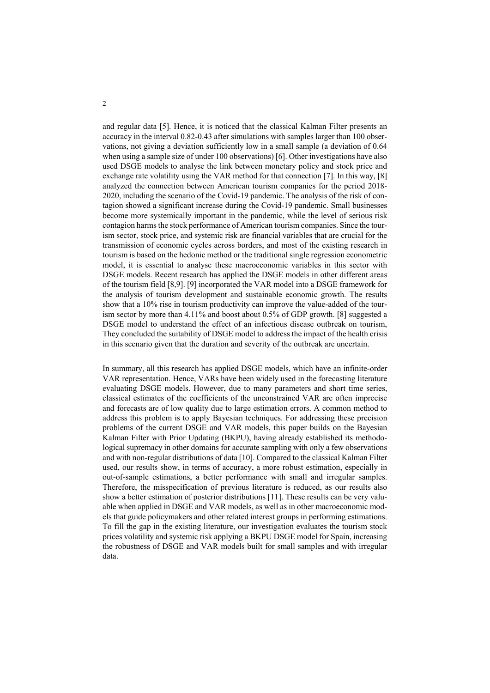and regular data [5]. Hence, it is noticed that the classical Kalman Filter presents an accuracy in the interval 0.82-0.43 after simulations with samples larger than 100 observations, not giving a deviation sufficiently low in a small sample (a deviation of 0.64 when using a sample size of under 100 observations) [6]. Other investigations have also used DSGE models to analyse the link between monetary policy and stock price and exchange rate volatility using the VAR method for that connection [7]. In this way, [8] analyzed the connection between American tourism companies for the period 2018- 2020, including the scenario of the Covid-19 pandemic. The analysis of the risk of contagion showed a significant increase during the Covid-19 pandemic. Small businesses become more systemically important in the pandemic, while the level of serious risk contagion harms the stock performance of American tourism companies. Since the tourism sector, stock price, and systemic risk are financial variables that are crucial for the transmission of economic cycles across borders, and most of the existing research in tourism is based on the hedonic method or the traditional single regression econometric model, it is essential to analyse these macroeconomic variables in this sector with DSGE models. Recent research has applied the DSGE models in other different areas of the tourism field [8,9]. [9] incorporated the VAR model into a DSGE framework for the analysis of tourism development and sustainable economic growth. The results show that a 10% rise in tourism productivity can improve the value-added of the tourism sector by more than 4.11% and boost about 0.5% of GDP growth. [8] suggested a DSGE model to understand the effect of an infectious disease outbreak on tourism, They concluded the suitability of DSGE model to address the impact of the health crisis in this scenario given that the duration and severity of the outbreak are uncertain.

In summary, all this research has applied DSGE models, which have an infinite-order VAR representation. Hence, VARs have been widely used in the forecasting literature evaluating DSGE models. However, due to many parameters and short time series, classical estimates of the coefficients of the unconstrained VAR are often imprecise and forecasts are of low quality due to large estimation errors. A common method to address this problem is to apply Bayesian techniques. For addressing these precision problems of the current DSGE and VAR models, this paper builds on the Bayesian Kalman Filter with Prior Updating (BKPU), having already established its methodological supremacy in other domains for accurate sampling with only a few observations and with non-regular distributions of data [10]. Compared to the classical Kalman Filter used, our results show, in terms of accuracy, a more robust estimation, especially in out-of-sample estimations, a better performance with small and irregular samples. Therefore, the misspecification of previous literature is reduced, as our results also show a better estimation of posterior distributions [11]. These results can be very valuable when applied in DSGE and VAR models, as well as in other macroeconomic models that guide policymakers and other related interest groups in performing estimations. To fill the gap in the existing literature, our investigation evaluates the tourism stock prices volatility and systemic risk applying a BKPU DSGE model for Spain, increasing the robustness of DSGE and VAR models built for small samples and with irregular data.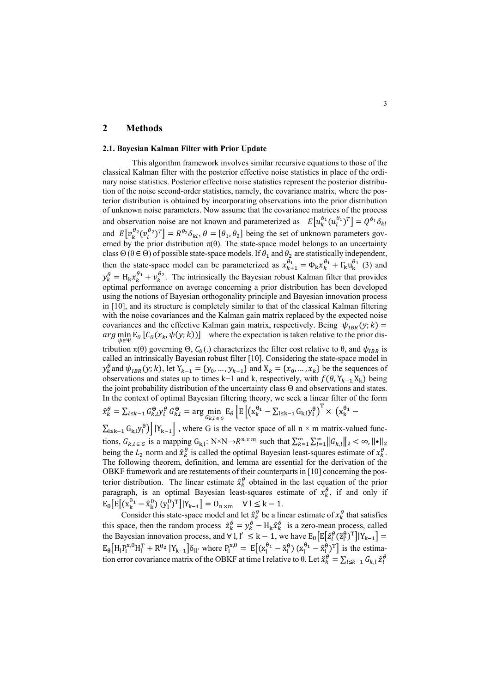## **2 Methods**

# **2.1. Bayesian Kalman Filter with Prior Update**

This algorithm framework involves similar recursive equations to those of the classical Kalman filter with the posterior effective noise statistics in place of the ordinary noise statistics. Posterior effective noise statistics represent the posterior distribution of the noise second-order statistics, namely, the covariance matrix, where the posterior distribution is obtained by incorporating observations into the prior distribution of unknown noise parameters. Now assume that the covariance matrices of the process and observation noise are not known and parameterized as  $E[u_k^{\theta_1}(u_l^{\theta_1})^T] = Q^{\theta_1} \delta_{kl}$ and  $E[v_k^{\theta_2}(v_l^{\theta_2})^T] = R^{\theta_2} \delta_{kl}, \theta = [\theta_1, \theta_2]$  being the set of unknown parameters governed by the prior distribution  $\pi(\theta)$ . The state-space model belongs to an uncertainty class  $\Theta$  ( $\theta \in \Theta$ ) of possible state-space models. If  $\theta_1$  and  $\theta_2$  are statistically independent, then the state-space model can be parameterized as  $x_{k+1}^{\theta_1} = \Phi_k x_k^{\theta_1} + \Gamma_k u_k^{\theta_1}$  (3) and  $y_k^{\theta} = H_k x_k^{\theta_1} + v_k^{\theta_2}$ . The intrinsically the Bayesian robust Kalman filter that provides optimal performance on average concerning a prior distribution has been developed using the notions of Bayesian orthogonality principle and Bayesian innovation process in [10], and its structure is completely similar to that of the classical Kalman filtering with the noise covariances and the Kalman gain matrix replaced by the expected noise covariances and the effective Kalman gain matrix, respectively. Being  $\psi_{IBR}(y; k)$  =  $arg \min_{\psi \in \Psi} E_{\theta} [C_{\theta}(x_k, \psi(y; k))]$  where the expectation is taken relative to the prior distribution  $\pi(\theta)$  governing  $\Theta$ ,  $C_{\theta}$ (.) characterizes the filter cost relative to  $\theta$ , and  $\psi_{IBR}$  is called an intrinsically Bayesian robust filter [10]. Considering the state-space model in  $y_k^{\theta}$  and  $\psi_{IBR}(y; k)$ , let  $Y_{k-1} = \{y_0, ..., y_{k-1}\}\$  and  $X_k = \{x_0, ..., x_k\}\$  be the sequences of observations and states up to times k−1 and k, respectively, with  $f(\theta, Y_{k-1}, X_k)$  being the joint probability distribution of the uncertainty class Θ and observations and states. In the context of optimal Bayesian filtering theory, we seek a linear filter of the form  $\hat{x}_k^{\theta} = \sum_{l \le k-1} G_{k,l}^{\theta} y_l^{\theta} G_{k,l}^{\theta} = \arg \min_{G_{k,l} \in G} E_{\theta} \left[ E \left[ \left( x_k^{\theta_1} - \sum_{l \le k-1} G_{k,l} y_l^{\theta} \right)^T \times \left( x_k^{\theta_1} - \sum_{l \le k-1} G_{k,l} y_l^{\theta} \right)^T \right] \right]$  $\sum_{k=1}$  G<sub>k,1</sub>y<sub>1</sub><sup>0</sup>) |  $|Y_{k-1}|$ , where G is the vector space of all n × m matrix-valued func-

tions,  $G_{k,l \in G}$  is a mapping  $G_{k,l}: N \times N \to R^{n \times m}$  such that  $\sum_{k=1}^{\infty} \sum_{l=1}^{\infty} ||G_{k,l}||_2 < \infty$ ,  $||\cdot||_2$ being the  $L_2$  norm and  $\hat{x}_k^{\theta}$  is called the optimal Bayesian least-squares estimate of  $x_k^{\theta}$ . The following theorem, definition, and lemma are essential for the derivation of the OBKF framework and are restatements of their counterparts in [10] concerning the posterior distribution. The linear estimate  $\hat{x}_{k}^{\theta}$  obtained in the last equation of the prior paragraph, is an optimal Bayesian least-squares estimate of  $x_k^{\theta}$ , if and only if  $E_{\theta} \left[ E \left[ (x_k^{\theta_1} - \hat{x}_k^{\theta}) (y_l^{\theta})^T \right] | Y_{k-1} \right] = 0_{n \times m} \quad \forall l \leq k - 1.$ 

Consider this state-space model and let  $\hat{x}_k^{\theta}$  be a linear estimate of  $x_k^{\theta}$  that satisfies this space, then the random process  $\tilde{z}_k^{\theta} = y_k^{\theta} - H_k \hat{x}_k^{\theta}$  is a zero-mean process, called the Bayesian innovation process, and  $\forall l, l' \leq k - 1$ , we have  $E_{\theta} \left[ E \left[ \tilde{z}_l^{\theta} (\tilde{z}_l^{\theta})^T \right] | Y_{k-1} \right] =$  $E_{\theta} [H_1 P_1^{x,\theta} H_1^T + R^{\theta_2} |Y_{k-1}] \delta_{ll'}$  where  $P_1^{x,\theta} = E[(x_1^{\theta_1} - \hat{x}_1^{\theta}) (x_1^{\theta_1} - \hat{x}_1^{\theta})^T]$  is the estimation error covariance matrix of the OBKF at time l relative to θ. Let  $\breve{x}_k^{\theta} = \sum_{l \leq k-1} G_{k,l} \tilde{z}_l^{\theta}$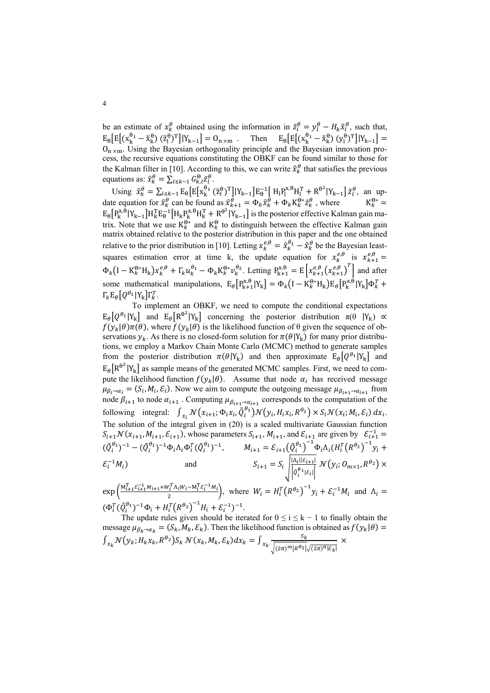be an estimate of  $x_k^{\theta}$  obtained using the information in  $\tilde{z}_l^{\theta} = y_l^{\theta} - H_k \tilde{x}_l^{\theta}$ , such that,  $E_{\theta} \left[ E \left[ (x_k^{\theta_1} - \breve{x}_k^{\theta}) (\tilde{z}_l^{\theta})^T \right] | Y_{k-1} \right] = 0_{n \times m}$ . Then  $E_{\theta} \left[ E \left[ (x_k^{\theta_1} - \breve{x}_k^{\theta}) (y_l^{\theta})^T \right] | Y_{k-1} \right] =$  $O_{n \times m}$ . Using the Bayesian orthogonality principle and the Bayesian innovation process, the recursive equations constituting the OBKF can be found similar to those for the Kalman filter in [10]. According to this, we can write  $\hat{x}_{k}^{\theta}$  that satisfies the previous equations as:  $\hat{x}_{k}^{\theta} = \sum_{l \leq k-1} G_{k,l}^{\theta} \tilde{z}_{l}^{\theta}$ .

Using  $\hat{x}_k^{\theta} = \sum_{l \le k-1} E_{\theta} \left[ E \left[ x_k^{\theta_1} (\tilde{z}_l^{\theta})^T \right] | Y_{k-1} \right] E_{\theta}^{-1} \left[ H_l P_l^{x, \theta} H_l^T + R^{\theta^2} | Y_{k-1} \right] \tilde{z}_l^{\theta}$ , an update equation for  $\hat{x}_{k}^{\theta}$  can be found as  $\hat{x}_{k+1}^{\theta} = \Phi_k \hat{x}_{k}^{\theta} + \Phi_k K_k^{\theta *} \hat{z}_{k}^{\theta}$ , where  $K_k^{\theta *} =$  $E_\theta[P_k^{x,\theta}|Y_{k-1}]H_k^TE_\theta^{-1}[H_kP_k^{x,\theta}H_k^T+R^{\theta^2}|Y_{k-1}]$  is the posterior effective Kalman gain matrix. Note that we use  $K_k^{\Theta^*}$  and  $K_k^{\Theta}$  to distinguish between the effective Kalman gain matrix obtained relative to the posterior distribution in this paper and the one obtained relative to the prior distribution in [10]. Letting  $x_k^{e,\theta} = \hat{x}_k^{\theta_1} - \hat{x}_k^{\theta}$  be the Bayesian leastsquares estimation error at time k, the update equation for  $x_k^{e,\theta}$  is  $x_{k+1}^{e,\theta}$  $\Phi_k \left( I - K_k^{\Theta^*} H_k \right) x_k^{e, \theta} + \Gamma_k u_k^{\theta_1} - \Phi_k K_k^{\Theta^*} v_k^{\theta_2}$ . Letting  $P_{k+1}^{x, \theta} = E \left[ x_{k+1}^{e, \theta} \left( x_{k+1}^{e, \theta} \right)^T \right]$  and after some mathematical manipulations,  $E_{\theta} [P_{k+1}^{x,\theta}|Y_{k}] = \Phi_{k} (I - K_{k}^{\Theta*}H_{k}) E_{\theta} [P_{k}^{x,\theta}|Y_{k}] \Phi_{k}^{T} +$  $\Gamma_k \mathrm{E}_{\theta} \big[ Q^{\theta_1} | \mathrm{Y}_k \big] \Gamma_k^T.$ 

To implement an OBKF, we need to compute the conditional expectations  $E_{\theta}[Q^{\theta_1}|Y_k]$  and  $E_{\theta}[R^{\theta_1}|Y_k]$  concerning the posterior distribution  $\pi(\theta |Y_k) \propto$  $f(y_k|\theta)\pi(\theta)$ , where  $f(y_k|\theta)$  is the likelihood function of  $\theta$  given the sequence of observations  $y_k$ . As there is no closed-form solution for  $\pi(\theta|Y_k)$  for many prior distributions, we employ a Markov Chain Monte Carlo (MCMC) method to generate samples from the posterior distribution  $\pi(\theta|Y_k)$  and then approximate  $E_\theta[Q^{\theta_1}|Y_k]$  and  $E_{\theta} [R^{\theta^2} | Y_k]$  as sample means of the generated MCMC samples. First, we need to compute the likelihood function  $f(y_k|\theta)$ . Assume that node  $\alpha_i$  has received message  $\mu_{\beta_i \to \alpha_i} = (S_i, M_i, \mathcal{E}_i)$ . Now we aim to compute the outgoing message  $\mu_{\beta_{i+1} \to \alpha_{i+1}}$  from node  $\beta_{i+1}$  to node  $\alpha_{i+1}$ . Computing  $\mu_{\beta_{i+1}\to\alpha_{i+1}}$  corresponds to the computation of the following integral:  $\int_{x_i} \mathcal{N}(x_{i+1}; \Phi_i x_i, \tilde{Q}_i^{\theta_1}) \mathcal{N}(y_i, H_i x_i, R^{\theta_2}) \times S_i \mathcal{N}(x_i; M_i, \mathcal{E}_i) dx_i$ . The solution of the integral given in (20) is a scaled multivariate Gaussian function  $S_{i+1}$   $\mathcal{N}(x_{i+1}, M_{i+1}, \mathcal{E}_{i+1})$ , whose parameters  $S_{i+1}$ ,  $M_{i+1}$ , and  $\mathcal{E}_{i+1}$  are given by  $\mathcal{E}_{i+1}^{-1}$  $(\tilde{Q}_{i}^{\theta_{1}})^{-1} - (\tilde{Q}_{i}^{\theta_{1}})^{-1} \Phi_{i} \Lambda_{i} \Phi_{i}^{T} (\tilde{Q}_{i}^{\theta_{1}})^{-1}, \qquad M_{i+1} = \mathcal{E}_{i+1} (\tilde{Q}_{i}^{\theta_{1}})^{-1} \Phi_{i} \Lambda_{i} (H_{i}^{T} (R^{\theta_{2}})^{-1} y_{i} +$  $\mathcal{E}_i^{-1}M_i$ ) and  $S_{i+1} = S_i \left| \frac{|\Lambda_i| |\mathcal{E}_{i+1}|}{|\partial \theta_{1}|\mathcal{E}_i|} \right|$  $\left| \tilde{Q}_i^{\theta_1} |\varepsilon_i| \right|$  $\mathcal{N}(y_i; O_{m \times 1}, R^{\theta_2}) \times$ 

 $\exp\left(\frac{M_{i+1}^T \mathcal{E}_{i+1}^{-1} M_{i+1} + W_i^T \Lambda_i W_i - M_i^T \mathcal{E}_i^{-1} M_i}{2}\right)$ , where  $W_i = H_i^T (R^{\theta_2})^{-1} y_i + \mathcal{E}_i^{-1} M_i$  and  $\Lambda_i =$  $(\Phi_i^T (\tilde{Q}_i^{\theta_1})^{-1} \Phi_i + H_i^T (R^{\theta_2})^{-1} H_i + \mathcal{E}_i^{-1})^{-1}.$ 

The update rules given should be iterated for  $0 \le i \le k - 1$  to finally obtain the message  $\mu_{\beta_k \to \alpha_k} = (S_k, M_k, \mathcal{E}_k)$ . Then the likelihood function is obtained as  $f(y_k|\theta) =$  $\int_{x_k} \mathcal{N}(y_k; H_k x_k, R^{\theta_2}) S_k \mathcal{N}(x_k, M_k, \mathcal{E}_k) dx_k = \int_{x_k} \frac{S_k}{\sqrt{(2-N^2)R^2}}$  $\sqrt{(2\pi)^m |R^{\theta_2}| \sqrt{(2\pi)^n |\mathcal{E}_k|}}$  $\mathsf{x}$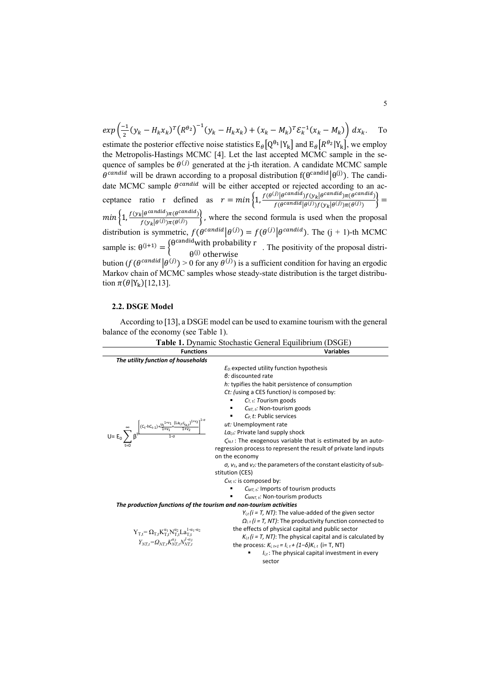$exp\left(\frac{-1}{2}(y_k - H_k x_k)^T (R^{\theta_2})^{-1} (y_k - H_k x_k) + (x_k - M_k)^T \mathcal{E}_k^{-1} (x_k - M_k)\right) dx_k$ . To estimate the posterior effective noise statistics  $E_\theta[Q^{\theta_1}|Y_k]$  and  $E_\theta[R^{\theta_2}|Y_k]$ , we employ the Metropolis-Hastings MCMC [4]. Let the last accepted MCMC sample in the sequence of samples be  $\theta^{(j)}$  generated at the j-th iteration. A candidate MCMC sample  $\theta^{candidate}$  will be drawn according to a proposal distribution f( $\theta^{candidate} | \theta^{(j)}$ ). The candidate MCMC sample  $\theta^{candidate}$  will be either accepted or rejected according to an acceptance ratio r defined as  $r = min\left\{1, \frac{f(\theta^{(j)}|\theta^{candidate})f(y_k|\theta^{candidate})\pi(\theta^{candidate})}{f(\theta^{candidate}|\theta^{(j)})f(y_k|\theta^{(j)})\pi(\theta^{(j)})}\right\}$  $min\left\{1,\frac{f(y_k|\theta^{candidate})\pi(\theta^{candidate})}{f(y_k|\theta^{(j)})\pi(\theta^{(j)})}\right\}$ , where the second formula is used when the proposal distribution is symmetric,  $f(\theta^{candid}|\theta^{(j)}) = f(\theta^{(j)}|\theta^{candid})$ . The (j + 1)-th MCMC sample is:  $\theta^{(j+1)} = \begin{cases} \theta^{candidate} \\ \theta^{(j)} \end{cases}$  otherwise . The positivity of the proposal distribution  $(f(\theta^{candidate} | \theta^{(j)}) > 0$  for any  $\theta^{(j)}$ ) is a sufficient condition for having an ergodic Markov chain of MCMC samples whose steady-state distribution is the target distribution  $\pi(\theta|Y_k)[12,13]$ .

## **2.2. DSGE Model**

According to [13], a DSGE model can be used to examine tourism with the general balance of the economy (see Table 1).

| <b>Functions</b>                                                                                                                                                                                                                                                                                                                  | <b>rapic 1.</b> Dynamic Stochastic Ocheral Equinorium (DSOE)<br><b>Variables</b>                                                                                                                                                                                                                                                                                                                                                                                                                                                                                                                                                                                                                                                 |
|-----------------------------------------------------------------------------------------------------------------------------------------------------------------------------------------------------------------------------------------------------------------------------------------------------------------------------------|----------------------------------------------------------------------------------------------------------------------------------------------------------------------------------------------------------------------------------------------------------------------------------------------------------------------------------------------------------------------------------------------------------------------------------------------------------------------------------------------------------------------------------------------------------------------------------------------------------------------------------------------------------------------------------------------------------------------------------|
| The utility function of households                                                                                                                                                                                                                                                                                                |                                                                                                                                                                                                                                                                                                                                                                                                                                                                                                                                                                                                                                                                                                                                  |
| $U\!\!=E_0\sum\limits_{-\!=\!=\!=\!=\!=}\! \beta^{\!\frac{1}{2}}\beta^{\!\frac{[C_{\!C_{\!T}\!+\!D_{\!C_{\!T}\!+\!1}})^{\frac{(1-\!1)(\!-\!1)(\!-\!1)(\!-\!1)(\!-\!1)(\!-\!1)(\!-\!1)(\!-\!1)(\!-\!1)(\!-\!1)(\!-\!1)(\!-\!1)(\!-\!1)(\!-\!1)(\!-\!1)(\!-\!1)(\!-\!1)(\!-\!1)(\!-\!1)(\!-\!1)(\!-\!1)(\!-\!1)(\!-\!1)(\!-\!1)(\!$ | $E_0$ expected utility function hypothesis<br>$\beta$ : discounted rate<br>h: typifies the habit persistence of consumption<br>Ct: (using a CES function) is composed by:<br>$C_{L,t}$ : Tourism goods<br>$C_{NT, t}$ : Non-tourism goods<br>$C_{P_i} t$ : Public services<br>ut: Unemployment rate<br>Lalt: Private land supply shock<br>$\zeta_{a,t}$ : The exogenous variable that is estimated by an auto-<br>regression process to represent the result of private land inputs<br>on the economy<br>$\sigma$ , $v_1$ , and $v_2$ : the parameters of the constant elasticity of sub-<br>stitution (CES)<br>$C_{M, t}$ : is composed by:<br>$C_{MT, t}$ : Imports of tourism products<br>$C_{MNT, t}$ : Non-tourism products |
| The production functions of the tourism and non-tourism activities                                                                                                                                                                                                                                                                |                                                                                                                                                                                                                                                                                                                                                                                                                                                                                                                                                                                                                                                                                                                                  |
| $\begin{array}{l} \displaystyle Y_{T,t} = \Omega_{T,t} K_{T,t}^{\alpha_1} N_{T,t}^{\alpha_2} L a_{T,t}^{1-\alpha_1-\alpha_2}\\ \displaystyle Y_{NT,t} {=} {\Omega_{NT,t} K_{NT}^{\alpha_3}} N_{NT}^{1-\alpha_3}\\ \end{array}$                                                                                                    | $Y_{i,t}$ (i = T, NT): The value-added of the given sector<br>$Q_{i,t}$ (i = T, NT): The productivity function connected to<br>the effects of physical capital and public sector<br>$K_{i,t}$ (i = T, NT): The physical capital and is calculated by<br>the process: $K_{i, t+1} = I_{i, t} + (1-\delta)K_{i, t}$ (i= T, NT)<br>$I_{i,t}$ : The physical capital investment in every<br>sector                                                                                                                                                                                                                                                                                                                                   |

**Table 1.** Dynamic Stochastic General Equilibrium (DSGE)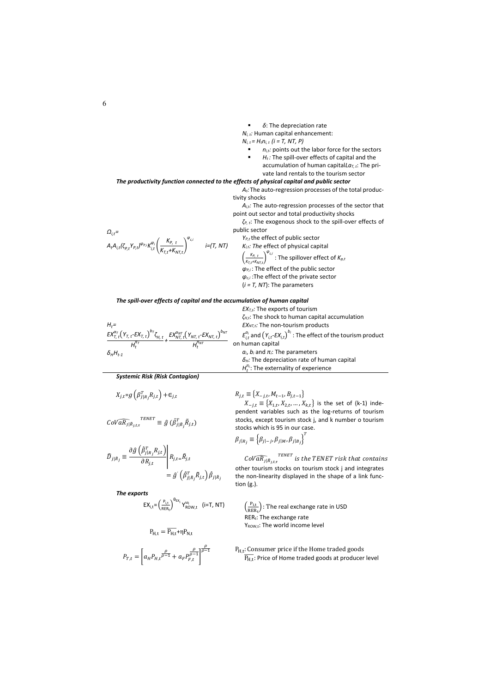*δ*: The depreciation rate

*Ni, t:* Human capital enhancement:

- $N_{i, t} = H_t n_{i, t}$  (*i* = *T*, *NT*, *P*)
	- $n_{i,t}$ : points out the labor force for the sectors *Ht :* The spill‐over effects of capital and the
	- accumulation of human capital $La_{\tau,t}$ : The private land rentals to the tourism sector

*The productivity function connected to the effects of physical capital and public sector* 

*At:* The auto‐regression processes of the total produc‐ tivity shocks

*Ai,t:* The auto‐regression processes of the sector that point out sector and total productivity shocks

*ζP, t*: The exogenous shock to the spill‐over effects of public sector

 $Q_{if}$ =

$$
A_t A_{i,t} (\zeta_{P,t} Y_{P,t})^{\varphi_{P,i}} K_{i,t}^{\varphi_i} \left( \frac{K_{P,\ t}}{K_{T,t} + K_{NT,t}} \right)^{\varphi_{c,i}} \qquad i = (T, NT)
$$

*YP,t* the effect of public sector *Ki,t: The* effect of physical capital  $\left(\frac{K_{P_r t}}{K_{T_r t}+K_{NT_r t}}\right)^{\varphi_{c,i}}$ : The spillover effect of  $K_{p,t}$  $\varphi_{P,i}$ : The effect of the public sector *φc,i* :The effect of the private sector (*i = T, NT*): The parameters

*ζH,t*: The shock to human capital accumulation

*δH:* The depreciation rate of human capital  $H_t^{\pi_i}$ : The externality of experience

 $E_{i,t}^{a_i}$  and  $\left(Y_{i,t}$ -*EX<sub>i,t</sub>* $\right)^{b_i}$  : The effect of the tourism product

*EXNT,t:* The non‐tourism products

*ai*, *bi* and *πi*: The parameters

#### *The spill‐over effects of capital and the accumulation of human capital*  $EX_{T,t}$ : The exports of tourism

$$
\begin{aligned} H_t &= \\ \frac{EX_{T,\,t}^{\alpha_T}\Big(Y_{T,\,t}-EX_{T,\,t}\Big)^{b_T}\zeta_{H,\,t}}{H_t^{\pi_T}} + \frac{EX_{NT,\,t}^{\alpha_{NT}}\Big(Y_{NT,\,t}-EX_{NT,\,t}\Big)^{b_{NT}}}{H_t^{\pi_{NT}}} \\ \delta_{H}H_{t-1} \end{aligned}
$$

#### *Systemic Risk (Risk Contagion)*

$$
X_{j,t} = g\left(\beta_{j|R_j}^T R_{j,t}\right) + \epsilon_{j,t}
$$

 $\widehat{Covak_{j|\tilde{R}_{j,t,\tau}}}^{TENET}\equiv \widehat{g}\,(\widehat{\beta}_{j|\tilde{R}_{j}}^{T}\widetilde{R}_{j,t})$ 

$$
\begin{aligned} \widehat{D}_{j|\tilde{R}_j} & \equiv \frac{\partial \widehat{g}\left(\widehat{\beta}_{j|R_j}^T R_{j,t}\right)}{\partial R_{j,t}} \Bigg| R_{j,t=} \widetilde{R}_{j,t} \\ & = \widehat{g}\left(\widehat{\beta}_{j|\tilde{R}_j}^T \widetilde{R}_{j,t}\right) \widehat{\beta}_{j|\tilde{R}_j} \end{aligned}
$$

*The exports*

$$
EX_{i,t} = \left(\frac{P_{i,t}}{RER_t}\right)^{\theta_{EX_i}} Y_{ROW,t}^{\omega_i} \quad (i=T, NT)
$$

$$
P_{H,t} = \overline{P_{H,t}} + \eta P_{N,t}
$$

$$
P_{T,t}=\left[a_{H}P_{H,t} \frac{\rho}{\rho-1}+a_{F}P_{F,t}^{\frac{\rho}{\rho-1}}\right]^{\frac{\rho}{\rho-1}}
$$

$$
R_{j,t} \equiv \{X_{-j,t}, M_{t-1}, B_{j,t-1}\}
$$

on human capital

 $X_{-i,t} \equiv \{X_{1,t}, X_{2,t}, ..., X_{k,t}\}\;$  is the set of (k-1) independent variables such as the log-returns of tourism stocks, except tourism stock j, and k number o tourism stocks which is 95 in our case.  $\boldsymbol{\tau}$ 

$$
\beta_{j|R_j} \equiv \left\{ \beta_{j|-j}, \beta_{j|M}, \beta_{j|B_j} \right\}
$$

 $\widehat{Covak_{j|\tilde{R}_{j,t,\tau}}}^{TENET}$  is the TENET risk that contains other tourism stocks on tourism stock j and integrates the non-linearity displayed in the shape of a link function (g.).

 $\left(\frac{P_{i,t}}{RER_t}\right)$ : The real exchange rate in USD RER<sub>t</sub>: The exchange rate Y<sub>ROW,t</sub>: The world income level

 $P_{H,t}$ : Consumer price if the Home traded goods  $\overline{P_{H,t}}$ : Price of Home traded goods at producer level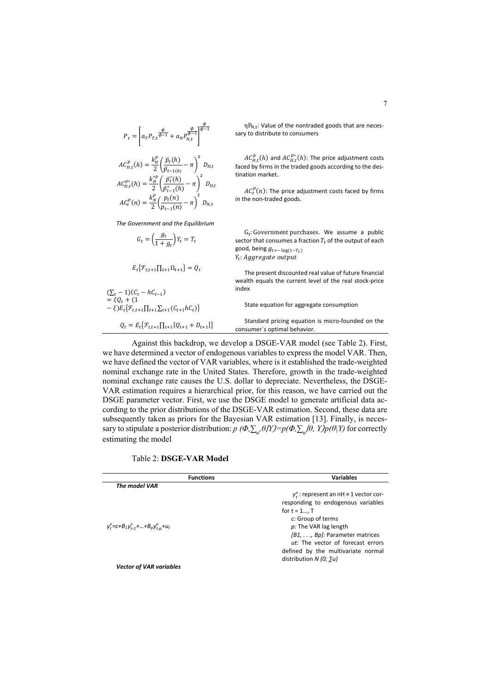$$
P_{t} = \left[ a_{T} P_{T,t} \frac{\phi}{\phi - 1} + a_{N} P_{N,t} \frac{\phi}{\phi - 1} \right] \frac{\phi}{\phi - 1}
$$
  

$$
AC_{H,t}^{p}(h) = \frac{k_{H}^{p}}{2} \left( \frac{\bar{p}_{t}(h)}{\bar{p}_{t-1(h)}} - \pi \right)^{2} D_{H,t}
$$
  

$$
AC_{H,t}^{p*}(h) = \frac{k_{H}^{*p}}{2} \left( \frac{\bar{p}_{t}^{*}(h)}{\bar{p}_{t-1}^{*}(h)} - \pi \right)^{2} D_{H,t}
$$
  

$$
AC_{t}^{p}(n) = \frac{k_{N}^{p}}{2} \left( \frac{p_{t}(n)}{p_{t-1}(n)} - \pi \right)^{2} D_{N,t}
$$

*The Government and the Equilibrium* 

$$
G_t = \left(\frac{g_t}{1 + g_t}\right) Y_t = T_t
$$

$$
E_t\{\mathcal{F}_{t,t+1}\prod_{t+1}\Omega_{t+1}\}=Q_t
$$

 $(\sum_t -1)(C_t - hC_{t-1})$  $= \xi Q_t + (1$  $-\xi E_t \{ \mathcal{F}_{t,t+1} \prod_{t+1} \sum_{t+1} (C_{t+1} h C_t) \}$  $Q_t = E_t \{ \mathcal{F}_{t,t+1} \prod_{t+1} [Q_{t+1} + D_{t+1}] \}$ 

 $\eta P_{N,t}$ : Value of the nontraded goods that are necessary to distribute to consumers

 $AC_{H,t}^p(h)$  and  $AC_{H,t}^{p*}(h)$ : The price adjustment costs faced by firms in the traded goods according to the des‐ tination market.

 $AC_t^p(n)$ : The price adjustment costs faced by firms in the non‐traded goods.

 $G_t$ : Government purchases. We assume a public sector that consumes a fraction  $T_t$  of the output of each good, being  $g_{t=-\log(1-T_t)}$  $Y_t$ : Aggregate output

The present discounted real value of future financial wealth equals the current level of the real stock‐price index

State equation for aggregate consumption

Standard pricing equation is micro‐founded on the consumer´s optimal behavior.

Against this backdrop, we develop a DSGE-VAR model (see Table 2). First, we have determined a vector of endogenous variables to express the model VAR. Then, we have defined the vector of VAR variables, where is it established the trade-weighted nominal exchange rate in the United States. Therefore, growth in the trade-weighted nominal exchange rate causes the U.S. dollar to depreciate. Nevertheless, the DSGE-VAR estimation requires a hierarchical prior, for this reason, we have carried out the DSGE parameter vector. First, we use the DSGE model to generate artificial data according to the prior distributions of the DSGE-VAR estimation. Second, these data are subsequently taken as priors for the Bayesian VAR estimation [13]. Finally, is necessary to stipulate a posterior distribution:  $p(\Phi, \sum_{u'} \theta / Y) = p(\Phi, \sum_{u'} \theta, Y) p(\theta | Y)$  for correctly estimating the model

Table 2: **DSGE-VAR Model**

| <b>Functions</b>                                     | <b>Variables</b>                                                                                                                                                                         |
|------------------------------------------------------|------------------------------------------------------------------------------------------------------------------------------------------------------------------------------------------|
| <b>The model VAR</b>                                 |                                                                                                                                                                                          |
|                                                      | $y_t^V$ : represent an nH $\times$ 1 vector cor-<br>responding to endogenous variables<br>for $t = 1$ , T                                                                                |
| $y_t^v = c + B_1 y_{t-1}^v +  + B_p y_{t-n}^v + u_t$ | c: Group of terms<br>p: The VAR lag length<br>[B1, , Bp]: Parameter matrices<br>ut: The vector of forecast errors<br>defined by the multivariate normal<br>distribution N (0; $\sum u$ ) |
| <b>Vector of VAR variables</b>                       |                                                                                                                                                                                          |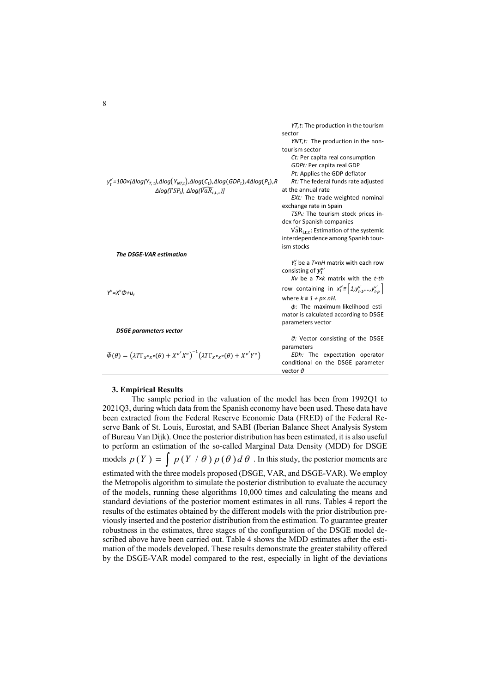| $y_t^{v'}$ =100×[ $\Delta$ log(Y <sub>T, t</sub> ), $\Delta$ log(Y <sub>NT,t</sub> ), $\Delta$ log(C <sub>t</sub> ), $\Delta$ log(GDP <sub>t</sub> ), $4\Delta$ log(P <sub>t</sub> ),R<br>$\triangle$ log(TSP <sub>t</sub> ), $\triangle$ log( $\widehat{VaR}_{i,t}$ <sub>r</sub> )] | YT,t: The production in the tourism<br>sector<br>YNT,t: The production in the non-<br>tourism sector<br>Ct: Per capita real consumption<br>GDPt: Per capita real GDP<br>Pt: Applies the GDP deflator<br>Rt: The federal funds rate adjusted<br>at the annual rate<br>EXt: The trade-weighted nominal<br>exchange rate in Spain<br>$TSP_t$ : The tourism stock prices in-<br>dex for Spanish companies<br>$\text{VaR}_{i,t,\tau}$ : Estimation of the systemic<br>interdependence among Spanish tour-<br>ism stocks |
|--------------------------------------------------------------------------------------------------------------------------------------------------------------------------------------------------------------------------------------------------------------------------------------|--------------------------------------------------------------------------------------------------------------------------------------------------------------------------------------------------------------------------------------------------------------------------------------------------------------------------------------------------------------------------------------------------------------------------------------------------------------------------------------------------------------------|
| <b>The DSGE-VAR estimation</b>                                                                                                                                                                                                                                                       |                                                                                                                                                                                                                                                                                                                                                                                                                                                                                                                    |
| $Y^{\nu} = X^{\nu} \Phi + u_{\nu}$                                                                                                                                                                                                                                                   | $Y_t^V$ be a TxnH matrix with each row<br>consisting of $y_t^{\nu}$<br>Xv be a $T \times k$ matrix with the $t$ -th<br>row containing in $x_t^{v'} \equiv \left[1, y_{t-1}^{v'}, , y_{t-0}^{v'}\right]$<br>where $k \equiv 1 + px$ nH.<br>$\phi$ : The maximum-likelihood esti-<br>mator is calculated according to DSGE<br>parameters vector                                                                                                                                                                      |
| <b>DSGE</b> parameters vector                                                                                                                                                                                                                                                        |                                                                                                                                                                                                                                                                                                                                                                                                                                                                                                                    |
| $\widetilde{\Phi}(\theta) = (\lambda T \Gamma_{X^{\nu} X^{\nu}}(\theta) + X^{\nu'} X^{\nu})^{-1} (\lambda T \Gamma_{X^{\nu} X^{\nu}}(\theta) + X^{\nu'} Y^{\nu})$                                                                                                                    | $\vartheta$ : Vector consisting of the DSGE<br>parameters<br>EDh: The expectation operator<br>conditional on the DSGE parameter<br>vector $\vartheta$                                                                                                                                                                                                                                                                                                                                                              |

#### **3. Empirical Results**

The sample period in the valuation of the model has been from 1992Q1 to 2021Q3, during which data from the Spanish economy have been used. These data have been extracted from the Federal Reserve Economic Data (FRED) of the Federal Reserve Bank of St. Louis, Eurostat, and SABI (Iberian Balance Sheet Analysis System of Bureau Van Dijk). Once the posterior distribution has been estimated, it is also useful to perform an estimation of the so-called Marginal Data Density (MDD) for DSGE models  $p(Y) = \int p(Y / \theta) p(\theta) d\theta$ . In this study, the posterior moments are estimated with the three models proposed (DSGE, VAR, and DSGE-VAR). We employ the Metropolis algorithm to simulate the posterior distribution to evaluate the accuracy of the models, running these algorithms 10,000 times and calculating the means and standard deviations of the posterior moment estimates in all runs. Tables 4 report the results of the estimates obtained by the different models with the prior distribution previously inserted and the posterior distribution from the estimation. To guarantee greater robustness in the estimates, three stages of the configuration of the DSGE model described above have been carried out. Table 4 shows the MDD estimates after the estimation of the models developed. These results demonstrate the greater stability offered by the DSGE-VAR model compared to the rest, especially in light of the deviations

8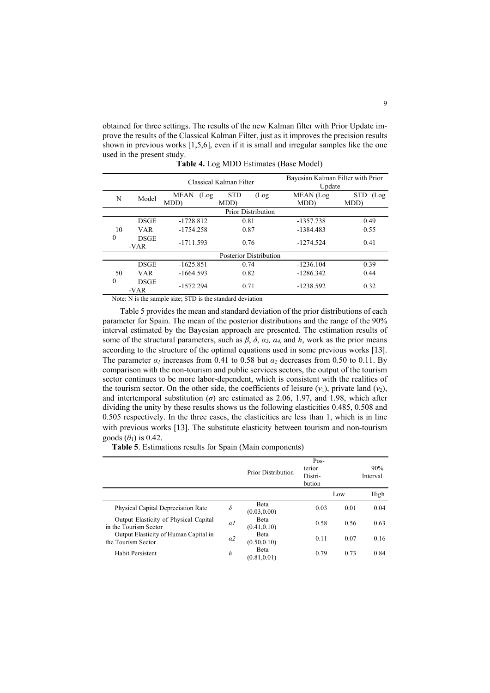obtained for three settings. The results of the new Kalman filter with Prior Update improve the results of the Classical Kalman Filter, just as it improves the precision results shown in previous works [1,5,6], even if it is small and irregular samples like the one used in the present study.

|          |                           |                              | Classical Kalman Filter    |                   | Bayesian Kalman Filter with Prior<br>Update |  |  |
|----------|---------------------------|------------------------------|----------------------------|-------------------|---------------------------------------------|--|--|
| N        | Model                     | <b>MEAN</b><br>(Log)<br>MDD) | <b>STD</b><br>(Log<br>MDD) | MEAN (Log<br>MDD) | <b>STD</b><br>$($ Log<br>MDD)               |  |  |
|          |                           |                              | <b>Prior Distribution</b>  |                   |                                             |  |  |
|          | <b>DSGE</b>               | $-1728.812$                  | 0.81                       | $-1357.738$       | 0.49                                        |  |  |
| 10       | <b>VAR</b><br>$-1754.258$ |                              | 0.87                       | $-1384.483$       | 0.55                                        |  |  |
| $\theta$ | <b>DSGE</b><br>-VAR       | $-1711.593$                  | 0.76                       | $-1274.524$       | 0.41                                        |  |  |
|          |                           |                              |                            |                   |                                             |  |  |
|          | <b>DSGE</b>               | $-1625.851$                  | 0.74                       | $-1236.104$       | 0.39                                        |  |  |
| 50       | <b>VAR</b>                | $-1664.593$                  | 0.82                       | $-1286.342$       | 0.44                                        |  |  |
| $\theta$ | <b>DSGE</b><br>-VAR       | $-1572.294$                  | 0.71                       | $-1238.592$       | 0.32                                        |  |  |

**Table 4.** Log MDD Estimates (Base Model)

Note: N is the sample size; STD is the standard deviation

Table 5 provides the mean and standard deviation of the prior distributions of each parameter for Spain. The mean of the posterior distributions and the range of the 90% interval estimated by the Bayesian approach are presented. The estimation results of some of the structural parameters, such as  $\beta$ ,  $\delta$ ,  $\alpha$ <sub>3</sub>,  $\alpha$ <sub>4</sub>, and  $h$ , work as the prior means according to the structure of the optimal equations used in some previous works [13]. The parameter  $\alpha_l$  increases from 0.41 to 0.58 but  $\alpha_2$  decreases from 0.50 to 0.11. By comparison with the non-tourism and public services sectors, the output of the tourism sector continues to be more labor-dependent, which is consistent with the realities of the tourism sector. On the other side, the coefficients of leisure  $(v_1)$ , private land  $(v_2)$ , and intertemporal substitution  $(σ)$  are estimated as 2.06, 1.97, and 1.98, which after dividing the unity by these results shows us the following elasticities 0.485, 0.508 and 0.505 respectively. In the three cases, the elasticities are less than 1, which is in line with previous works [13]. The substitute elasticity between tourism and non-tourism goods  $(\theta_1)$  is 0.42.

**Table 5**. Estimations results for Spain (Main components)

|                                                                |          | <b>Prior Distribution</b>    | Pos-<br>terior<br>Distri-<br>bution |      | 90%<br>Interval |
|----------------------------------------------------------------|----------|------------------------------|-------------------------------------|------|-----------------|
|                                                                |          |                              |                                     | Low  | High            |
| Physical Capital Depreciation Rate                             | $\delta$ | Beta<br>(0.03, 0.00)         | 0.03                                | 0.01 | 0.04            |
| Output Elasticity of Physical Capital<br>in the Tourism Sector | $\alpha$ | <b>B</b> eta<br>(0.41, 0.10) | 0.58                                | 0.56 | 0.63            |
| Output Elasticity of Human Capital in<br>the Tourism Sector    | a2       | <b>B</b> eta<br>(0.50, 0.10) | 0.11                                | 0.07 | 0.16            |
| <b>Habit Persistent</b>                                        | h        | Beta<br>(0.81, 0.01)         | 0.79                                | 0.73 | 0.84            |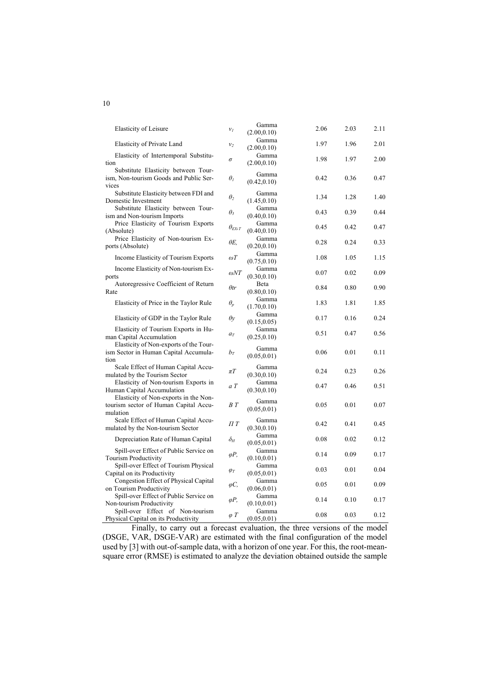| <b>Elasticity of Leisure</b>                                                               | $v_I$                           | Gamma<br>(2.00, 0.10) | 2.06 | 2.03 | 2.11 |
|--------------------------------------------------------------------------------------------|---------------------------------|-----------------------|------|------|------|
| Elasticity of Private Land                                                                 | v <sub>2</sub>                  | Gamma<br>(2.00, 0.10) | 1.97 | 1.96 | 2.01 |
| Elasticity of Intertemporal Substitu-<br>tion                                              | $\sigma$                        | Gamma<br>(2.00, 0.10) | 1.98 | 1.97 | 2.00 |
| Substitute Elasticity between Tour-<br>ism, Non-tourism Goods and Public Ser-<br>vices     | $\theta_I$                      | Gamma<br>(0.42, 0.10) | 0.42 | 0.36 | 0.47 |
| Substitute Elasticity between FDI and<br>Domestic Investment                               | $\theta_2$                      | Gamma<br>(1.45, 0.10) | 1.34 | 1.28 | 1.40 |
| Substitute Elasticity between Tour-<br>ism and Non-tourism Imports                         | $\theta_3$                      | Gamma<br>(0.40, 0.10) | 0.43 | 0.39 | 0.44 |
| Price Elasticity of Tourism Exports<br>(Absolute)                                          | $\theta_{\rm{EX},\,T}$          | Gamma<br>(0.40, 0.10) | 0.45 | 0.42 | 0.47 |
| Price Elasticity of Non-tourism Ex-<br>ports (Absolute)                                    | $\theta E$ ,                    | Gamma<br>(0.20, 0.10) | 0.28 | 0.24 | 0.33 |
| Income Elasticity of Tourism Exports                                                       | $\omega T$                      | Gamma<br>(0.75, 0.10) | 1.08 | 1.05 | 1.15 |
| Income Elasticity of Non-tourism Ex-<br>ports                                              | $\omega NT$                     | Gamma<br>(0.30, 0.10) | 0.07 | 0.02 | 0.09 |
| Autoregressive Coefficient of Return<br>Rate                                               | $\theta$ tr                     | Beta<br>(0.80, 0.10)  | 0.84 | 0.80 | 0.90 |
| Elasticity of Price in the Taylor Rule                                                     | $\theta_p$                      | Gamma<br>(1.70, 0.10) | 1.83 | 1.81 | 1.85 |
| Elasticity of GDP in the Taylor Rule                                                       | $\theta$ y                      | Gamma<br>(0.15, 0.05) | 0.17 | 0.16 | 0.24 |
| Elasticity of Tourism Exports in Hu-<br>man Capital Accumulation                           | $a_T$                           | Gamma<br>(0.25, 0.10) | 0.51 | 0.47 | 0.56 |
| Elasticity of Non-exports of the Tour-<br>ism Sector in Human Capital Accumula-<br>tion    | $b_T$                           | Gamma<br>(0.05, 0.01) | 0.06 | 0.01 | 0.11 |
| Scale Effect of Human Capital Accu-<br>mulated by the Tourism Sector                       | $\pi T$                         | Gamma<br>(0.30, 0.10) | 0.24 | 0.23 | 0.26 |
| Elasticity of Non-tourism Exports in<br>Human Capital Accumulation                         | a T                             | Gamma<br>(0.30, 0.10) | 0.47 | 0.46 | 0.51 |
| Elasticity of Non-exports in the Non-<br>tourism sector of Human Capital Accu-<br>mulation | B T                             | Gamma<br>(0.05, 0.01) | 0.05 | 0.01 | 0.07 |
| Scale Effect of Human Capital Accu-<br>mulated by the Non-tourism Sector                   | $\Pi$ $T$                       | Gamma<br>(0.30, 0.10) | 0.42 | 0.41 | 0.45 |
| Depreciation Rate of Human Capital                                                         | $\delta_{\scriptscriptstyle H}$ | Gamma<br>(0.05, 0.01) | 0.08 | 0.02 | 0.12 |
| Spill-over Effect of Public Service on<br>Tourism Productivity                             | $\varphi P$ ,                   | Gamma<br>(0.10, 0.01) | 0.14 | 0.09 | 0.17 |
| Spill-over Effect of Tourism Physical<br>Capital on its Productivity                       | $\varphi_T$                     | Gamma<br>(0.05, 0.01) | 0.03 | 0.01 | 0.04 |
| Congestion Effect of Physical Capital<br>on Tourism Productivity                           | $\varphi C$ ,                   | Gamma<br>(0.06, 0.01) | 0.05 | 0.01 | 0.09 |
| Spill-over Effect of Public Service on<br>Non-tourism Productivity                         | $\varphi P$ ,                   | Gamma<br>(0.10, 0.01) | 0.14 | 0.10 | 0.17 |
| Spill-over Effect of Non-tourism<br>Physical Capital on its Productivity                   | $\varphi$ T                     | Gamma<br>(0.05, 0.01) | 0.08 | 0.03 | 0.12 |

Finally, to carry out a forecast evaluation, the three versions of the model (DSGE, VAR, DSGE-VAR) are estimated with the final configuration of the model used by [3] with out-of-sample data, with a horizon of one year. For this, the root-meansquare error (RMSE) is estimated to analyze the deviation obtained outside the sample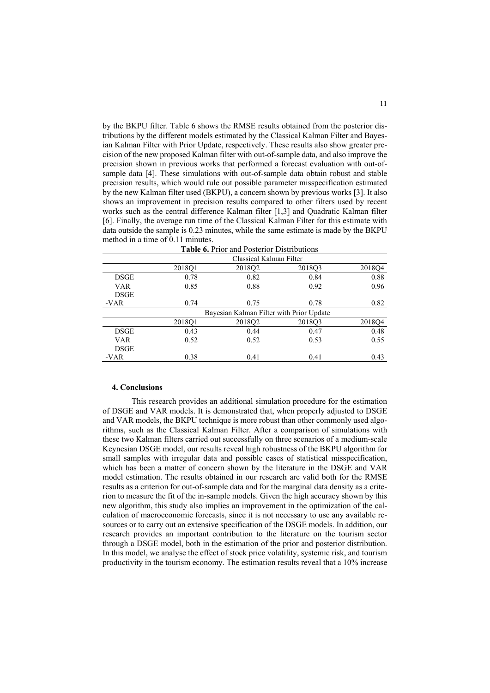by the BKPU filter. Table 6 shows the RMSE results obtained from the posterior distributions by the different models estimated by the Classical Kalman Filter and Bayesian Kalman Filter with Prior Update, respectively. These results also show greater precision of the new proposed Kalman filter with out-of-sample data, and also improve the precision shown in previous works that performed a forecast evaluation with out-ofsample data [4]. These simulations with out-of-sample data obtain robust and stable precision results, which would rule out possible parameter misspecification estimated by the new Kalman filter used (BKPU), a concern shown by previous works [3]. It also shows an improvement in precision results compared to other filters used by recent works such as the central difference Kalman filter [1,3] and Quadratic Kalman filter [6]. Finally, the average run time of the Classical Kalman Filter for this estimate with data outside the sample is 0.23 minutes, while the same estimate is made by the BKPU method in a time of 0.11 minutes. **Table 6.** Prior and Posterior Distributions

|                                          | <b>Table 6.</b> Prior and Posterior Distributions |        |        |        |  |  |  |
|------------------------------------------|---------------------------------------------------|--------|--------|--------|--|--|--|
|                                          | Classical Kalman Filter                           |        |        |        |  |  |  |
|                                          | 201804                                            |        |        |        |  |  |  |
| <b>DSGE</b>                              | 0.78                                              | 0.82   | 0.84   | 0.88   |  |  |  |
| VAR                                      | 0.85                                              | 0.88   | 0.92   | 0.96   |  |  |  |
| <b>DSGE</b>                              |                                                   |        |        |        |  |  |  |
| -VAR                                     | 0.74                                              | 0.75   | 0.78   | 0.82   |  |  |  |
| Bayesian Kalman Filter with Prior Update |                                                   |        |        |        |  |  |  |
|                                          | 2018O1                                            | 201802 | 201803 | 201804 |  |  |  |
| <b>DSGE</b>                              | 0.43                                              | 0.44   | 0.47   | 0.48   |  |  |  |
| <b>VAR</b>                               | 0.52                                              | 0.52   | 0.53   | 0.55   |  |  |  |
| <b>DSGE</b>                              |                                                   |        |        |        |  |  |  |
| -VAR                                     | 0.38                                              | 0.41   | 0.41   | 0.43   |  |  |  |

|  |  |  |  | <b>I able 6.</b> Prior and Posterior Distributions |  |
|--|--|--|--|----------------------------------------------------|--|
|  |  |  |  |                                                    |  |

#### **4. Conclusions**

This research provides an additional simulation procedure for the estimation of DSGE and VAR models. It is demonstrated that, when properly adjusted to DSGE and VAR models, the BKPU technique is more robust than other commonly used algorithms, such as the Classical Kalman Filter. After a comparison of simulations with these two Kalman filters carried out successfully on three scenarios of a medium-scale Keynesian DSGE model, our results reveal high robustness of the BKPU algorithm for small samples with irregular data and possible cases of statistical misspecification, which has been a matter of concern shown by the literature in the DSGE and VAR model estimation. The results obtained in our research are valid both for the RMSE results as a criterion for out-of-sample data and for the marginal data density as a criterion to measure the fit of the in-sample models. Given the high accuracy shown by this new algorithm, this study also implies an improvement in the optimization of the calculation of macroeconomic forecasts, since it is not necessary to use any available resources or to carry out an extensive specification of the DSGE models. In addition, our research provides an important contribution to the literature on the tourism sector through a DSGE model, both in the estimation of the prior and posterior distribution. In this model, we analyse the effect of stock price volatility, systemic risk, and tourism productivity in the tourism economy. The estimation results reveal that a 10% increase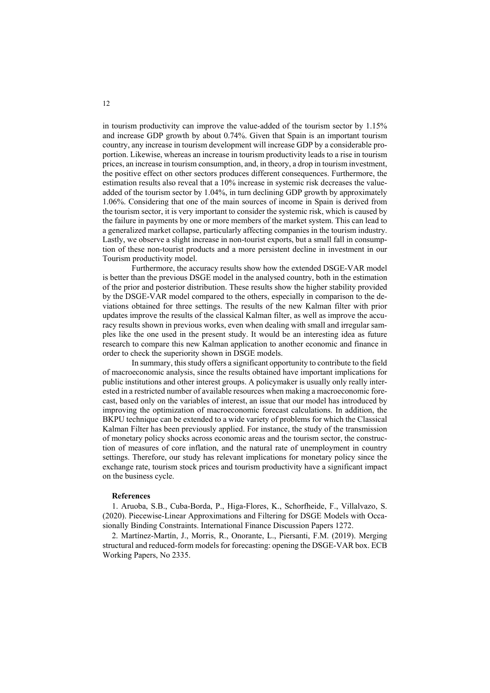in tourism productivity can improve the value-added of the tourism sector by 1.15% and increase GDP growth by about 0.74%. Given that Spain is an important tourism country, any increase in tourism development will increase GDP by a considerable proportion. Likewise, whereas an increase in tourism productivity leads to a rise in tourism prices, an increase in tourism consumption, and, in theory, a drop in tourism investment, the positive effect on other sectors produces different consequences. Furthermore, the estimation results also reveal that a 10% increase in systemic risk decreases the valueadded of the tourism sector by 1.04%, in turn declining GDP growth by approximately 1.06%. Considering that one of the main sources of income in Spain is derived from the tourism sector, it is very important to consider the systemic risk, which is caused by the failure in payments by one or more members of the market system. This can lead to a generalized market collapse, particularly affecting companies in the tourism industry. Lastly, we observe a slight increase in non-tourist exports, but a small fall in consumption of these non-tourist products and a more persistent decline in investment in our Tourism productivity model.

Furthermore, the accuracy results show how the extended DSGE-VAR model is better than the previous DSGE model in the analysed country, both in the estimation of the prior and posterior distribution. These results show the higher stability provided by the DSGE-VAR model compared to the others, especially in comparison to the deviations obtained for three settings. The results of the new Kalman filter with prior updates improve the results of the classical Kalman filter, as well as improve the accuracy results shown in previous works, even when dealing with small and irregular samples like the one used in the present study. It would be an interesting idea as future research to compare this new Kalman application to another economic and finance in order to check the superiority shown in DSGE models.

In summary, this study offers a significant opportunity to contribute to the field of macroeconomic analysis, since the results obtained have important implications for public institutions and other interest groups. A policymaker is usually only really interested in a restricted number of available resources when making a macroeconomic forecast, based only on the variables of interest, an issue that our model has introduced by improving the optimization of macroeconomic forecast calculations. In addition, the BKPU technique can be extended to a wide variety of problems for which the Classical Kalman Filter has been previously applied. For instance, the study of the transmission of monetary policy shocks across economic areas and the tourism sector, the construction of measures of core inflation, and the natural rate of unemployment in country settings. Therefore, our study has relevant implications for monetary policy since the exchange rate, tourism stock prices and tourism productivity have a significant impact on the business cycle.

#### **References**

1. Aruoba, S.B., Cuba-Borda, P., Higa-Flores, K., Schorfheide, F., Villalvazo, S. (2020). Piecewise-Linear Approximations and Filtering for DSGE Models with Occasionally Binding Constraints. International Finance Discussion Papers 1272.

2. Martínez-Martín, J., Morris, R., Onorante, L., Piersanti, F.M. (2019). Merging structural and reduced-form models for forecasting: opening the DSGE-VAR box. ECB Working Papers, No 2335.